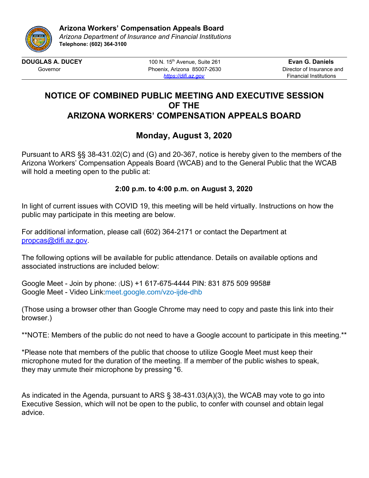

**DOUGLAS A. DUCEY** 

 Avenue, Suite 261 **Evan G. Daniels** Governor **Phoenix, Arizona 85007-2630** Director of Insurance and Governor **[https://difi.az.gov](https://difi.az.gov/) Financial Institutions** 

## **NOTICE OF COMBINED PUBLIC MEETING AND EXECUTIVE SESSION OF THE ARIZONA WORKERS' COMPENSATION APPEALS BOARD**

## **Monday, August 3, 2020**

Pursuant to ARS §§ 38-431.02(C) and (G) and 20-367, notice is hereby given to the members of the Arizona Workers' Compensation Appeals Board (WCAB) and to the General Public that the WCAB will hold a meeting open to the public at:

## **2:00 p.m. to 4:00 p.m. on August 3, 2020**

In light of current issues with COVID 19, this meeting will be held virtually. Instructions on how the public may participate in this meeting are below.

For additional information, please call (602) 364-2171 or contact the Department at [propcas@difi.az.gov.](mailto:propcas@difi.az.gov)

The following options will be available for public attendance. Details on available options and associated instructions are included below:

Google Meet - Join by phone: (US) +1 617-675-4444 PIN: 831 875 509 9958# Google Meet - Video Link:meet.google.com/vzo-ijde-dhb

(Those using a browser other than Google Chrome may need to copy and paste this link into their browser.)

\*\*NOTE: Members of the public do not need to have a Google account to participate in this meeting.\*\*

\*Please note that members of the public that choose to utilize Google Meet must keep their microphone muted for the duration of the meeting. If a member of the public wishes to speak, they may unmute their microphone by pressing \*6.

As indicated in the Agenda, pursuant to ARS § 38-431.03(A)(3), the WCAB may vote to go into Executive Session, which will not be open to the public, to confer with counsel and obtain legal advice.